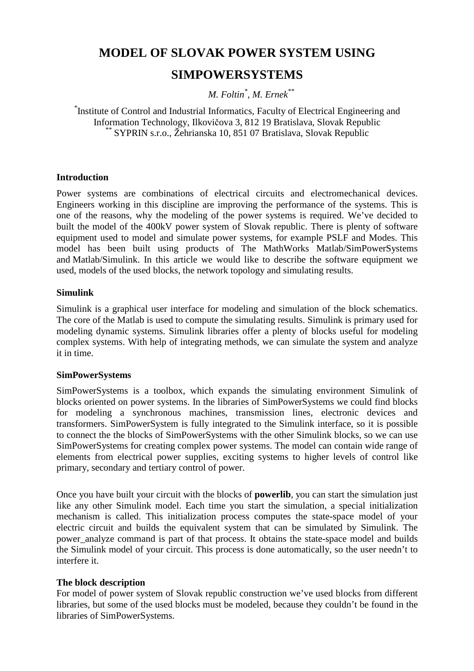# **MODEL OF SLOVAK POWER SYSTEM USING**

## **SIMPOWERSYSTEMS**

*M. Foltin\* , M. Ernek\*\**

*\** Institute of Control and Industrial Informatics, Faculty of Electrical Engineering and Information Technology, Ilkovičova 3, 812 19 Bratislava, Slovak Republic *\*\** SYPRIN s.r.o., Žehrianska 10, 851 07 Bratislava, Slovak Republic

#### **Introduction**

Power systems are combinations of electrical circuits and electromechanical devices. Engineers working in this discipline are improving the performance of the systems. This is one of the reasons, why the modeling of the power systems is required. We've decided to built the model of the 400kV power system of Slovak republic. There is plenty of software equipment used to model and simulate power systems, for example PSLF and Modes. This model has been built using products of The MathWorks Matlab/SimPowerSystems and Matlab/Simulink. In this article we would like to describe the software equipment we used, models of the used blocks, the network topology and simulating results.

#### **Simulink**

Simulink is a graphical user interface for modeling and simulation of the block schematics. The core of the Matlab is used to compute the simulating results. Simulink is primary used for modeling dynamic systems. Simulink libraries offer a plenty of blocks useful for modeling complex systems. With help of integrating methods, we can simulate the system and analyze it in time.

#### **SimPowerSystems**

SimPowerSystems is a toolbox, which expands the simulating environment Simulink of blocks oriented on power systems. In the libraries of SimPowerSystems we could find blocks for modeling a synchronous machines, transmission lines, electronic devices and transformers. SimPowerSystem is fully integrated to the Simulink interface, so it is possible to connect the the blocks of SimPowerSystems with the other Simulink blocks, so we can use SimPowerSystems for creating complex power systems. The model can contain wide range of elements from electrical power supplies, exciting systems to higher levels of control like primary, secondary and tertiary control of power.

Once you have built your circuit with the blocks of **powerlib**, you can start the simulation just like any other Simulink model. Each time you start the simulation, a special initialization mechanism is called. This initialization process computes the state-space model of your electric circuit and builds the equivalent system that can be simulated by Simulink. The power analyze command is part of that process. It obtains the state-space model and builds the Simulink model of your circuit. This process is done automatically, so the user needn't to interfere it.

#### **The block description**

For model of power system of Slovak republic construction we've used blocks from different libraries, but some of the used blocks must be modeled, because they couldn't be found in the libraries of SimPowerSystems.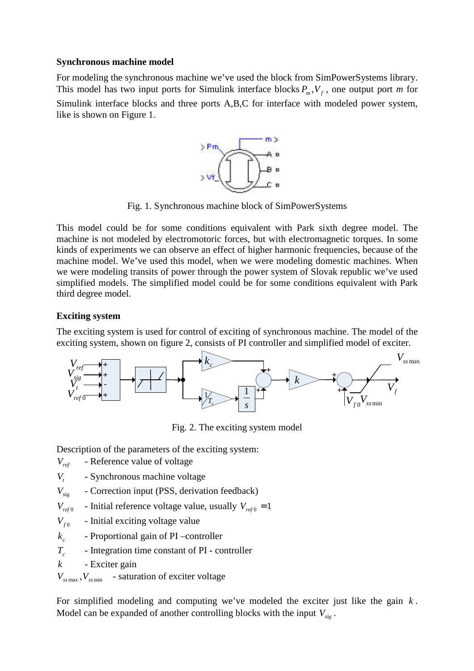#### **Synchronous machine model**

For modeling the synchronous machine we've used the block from SimPowerSystems library. This model has two input ports for Simulink interface blocks  $P_m$ ,  $V_f$ , one output port *m* for Simulink interface blocks and three ports A,B,C for interface with modeled power system, like is shown on Figure 1.



Fig. 1. Synchronous machine block of SimPowerSystems

This model could be for some conditions equivalent with Park sixth degree model. The machine is not modeled by electromotoric forces, but with electromagnetic torques. In some kinds of experiments we can observe an effect of higher harmonic frequencies, because of the machine model. We've used this model, when we were modeling domestic machines. When we were modeling transits of power through the power system of Slovak republic we've used simplified models. The simplified model could be for some conditions equivalent with Park third degree model.

#### **Exciting system**

The exciting system is used for control of exciting of synchronous machine. The model of the exciting system, shown on figure 2, consists of PI controller and simplified model of exciter.



Fig. 2. The exciting system model

Description of the parameters of the exciting system:

- *Vref* Reference value of voltage
- *Vt* - Synchronous machine voltage
- *Vsig* Correction input (PSS, derivation feedback)
- *Vref* <sup>0</sup> - Initial reference voltage value, usually  $V_{ref0} = 1$
- $V_{f0}$ - Initial exciting voltage value
- $k_c$ *k* - Proportional gain of PI –controller
- $T_c$ - Integration time constant of PI - controller
- *k* Exciter gain

 $V_{\text{sum}}$ ,  $V_{\text{sum}}$  - saturation of exciter voltage

For simplified modeling and computing we've modeled the exciter just like the gain *k* . Model can be expanded of another controlling blocks with the input  $V_{si}$ .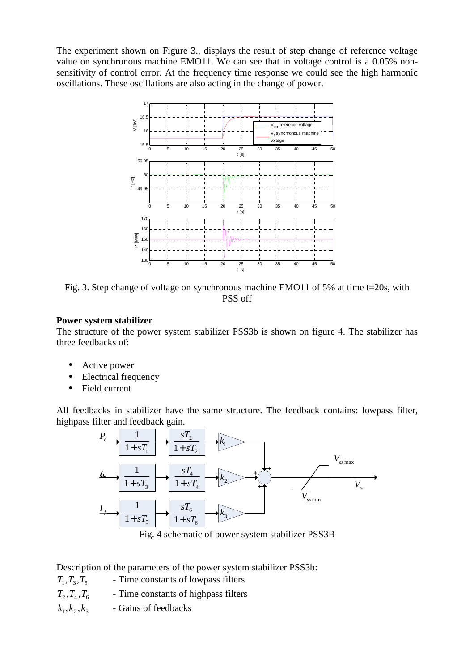The experiment shown on Figure 3., displays the result of step change of reference voltage value on synchronous machine EMO11. We can see that in voltage control is a 0.05% nonsensitivity of control error. At the frequency time response we could see the high harmonic oscillations. These oscillations are also acting in the change of power.



Fig. 3. Step change of voltage on synchronous machine EMO11 of 5% at time t=20s, with PSS off

#### **Power system stabilizer**

The structure of the power system stabilizer PSS3b is shown on figure 4. The stabilizer has three feedbacks of:

- Active power
- Electrical frequency
- Field current

All feedbacks in stabilizer have the same structure. The feedback contains: lowpass filter, highpass filter and feedback gain.



Fig. 4 schematic of power system stabilizer PSS3B

Description of the parameters of the power system stabilizer PSS3b:

- $T_1, T_2, T_5$  Time constants of lowpass filters
- $T_2, T_4, T_6$  Time constants of highpass filters
- $k_1, k_2, k_3$ *k* , *k* , *k* - Gains of feedbacks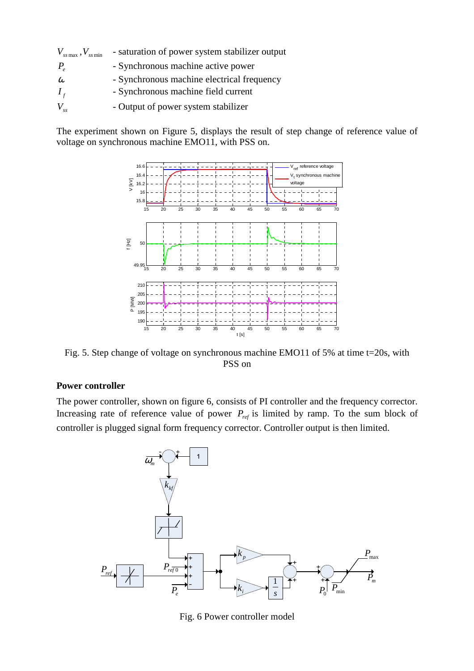| $V_{\rm ss\,max}$ , $V_{\rm ss\,min}$ | - saturation of power system stabilizer output |
|---------------------------------------|------------------------------------------------|
| $P_{\rho}$                            | - Synchronous machine active power             |
| $\omega$                              | - Synchronous machine electrical frequency     |
| $I_f$                                 | - Synchronous machine field current            |
| $V_{ss}$                              | - Output of power system stabilizer            |

The experiment shown on Figure 5, displays the result of step change of reference value of voltage on synchronous machine EMO11, with PSS on.



Fig. 5. Step change of voltage on synchronous machine EMO11 of 5% at time t=20s, with PSS on

#### **Power controller**

The power controller, shown on figure 6, consists of PI controller and the frequency corrector. Increasing rate of reference value of power  $P_{ref}$  is limited by ramp. To the sum block of controller is plugged signal form frequency corrector. Controller output is then limited.



Fig. 6 Power controller model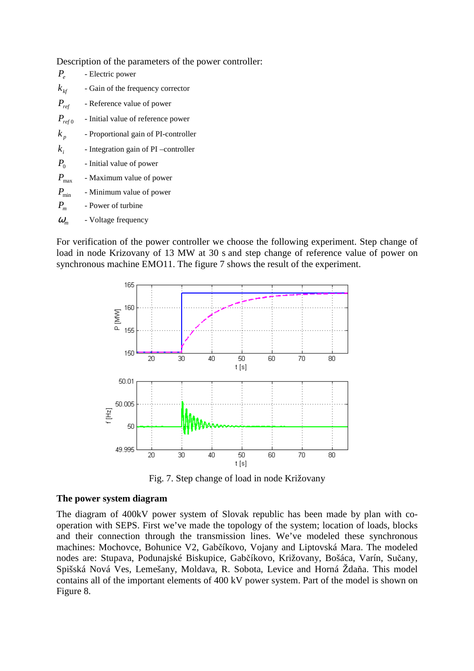Description of the parameters of the power controller:

| $P_{\rho}$       | - Electric power                      |
|------------------|---------------------------------------|
| $k_{\rm kfs}$    | - Gain of the frequency corrector     |
| $P_{ref}$        | - Reference value of power            |
| $P_{\it ref\,0}$ | - Initial value of reference power    |
| $k_{p}$          | - Proportional gain of PI-controller  |
| $k_i$            | - Integration gain of PI - controller |
| $P_{0}$          | - Initial value of power              |
| $P_{\rm max}$    | - Maximum value of power              |
| $P_{\min}$       | - Minimum value of power              |
| $P_{m}$          | - Power of turbine                    |
| $\omega_{m}$     | - Voltage frequency                   |
|                  |                                       |

For verification of the power controller we choose the following experiment. Step change of load in node Krizovany of 13 MW at 30 s and step change of reference value of power on synchronous machine EMO11. The figure 7 shows the result of the experiment.



Fig. 7. Step change of load in node Križovany

#### **The power system diagram**

The diagram of 400kV power system of Slovak republic has been made by plan with cooperation with SEPS. First we've made the topology of the system; location of loads, blocks and their connection through the transmission lines. We've modeled these synchronous machines: Mochovce, Bohunice V2, Gabčíkovo, Vojany and Liptovská Mara. The modeled nodes are: Stupava, Podunajské Biskupice, Gabčíkovo, Križovany, Bošáca, Varín, Sučany, Spišská Nová Ves, Lemešany, Moldava, R. Sobota, Levice and Horná Ždaňa. This model contains all of the important elements of 400 kV power system. Part of the model is shown on Figure 8.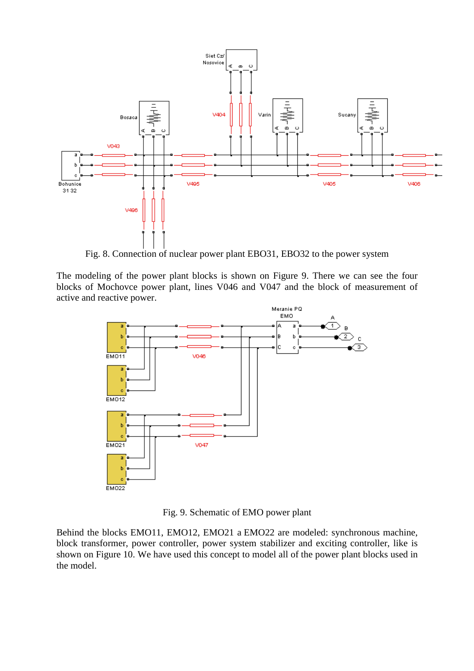

Fig. 8. Connection of nuclear power plant EBO31, EBO32 to the power system

The modeling of the power plant blocks is shown on Figure 9. There we can see the four blocks of Mochovce power plant, lines V046 and V047 and the block of measurement of active and reactive power.



Fig. 9. Schematic of EMO power plant

Behind the blocks EMO11, EMO12, EMO21 a EMO22 are modeled: synchronous machine, block transformer, power controller, power system stabilizer and exciting controller, like is shown on Figure 10. We have used this concept to model all of the power plant blocks used in the model.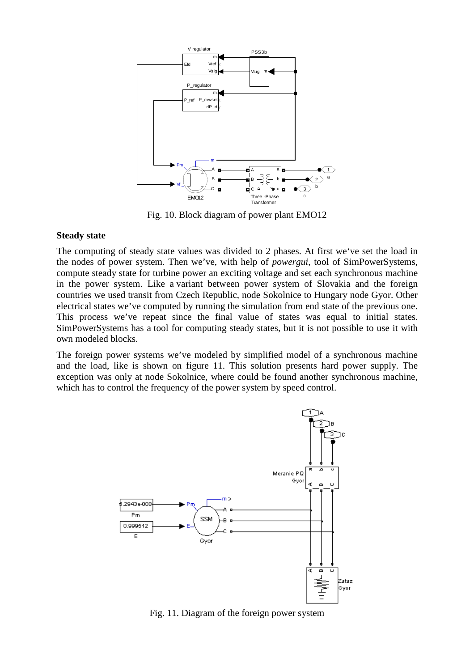

Fig. 10. Block diagram of power plant EMO12

#### **Steady state**

The computing of steady state values was divided to 2 phases. At first we've set the load in the nodes of power system. Then we've, with help of *powergui*, tool of SimPowerSystems, compute steady state for turbine power an exciting voltage and set each synchronous machine in the power system. Like a variant between power system of Slovakia and the foreign countries we used transit from Czech Republic, node Sokolnice to Hungary node Gyor. Other electrical states we've computed by running the simulation from end state of the previous one. This process we've repeat since the final value of states was equal to initial states. SimPowerSystems has a tool for computing steady states, but it is not possible to use it with own modeled blocks.

The foreign power systems we've modeled by simplified model of a synchronous machine and the load, like is shown on figure 11. This solution presents hard power supply. The exception was only at node Sokolnice, where could be found another synchronous machine, which has to control the frequency of the power system by speed control.



Fig. 11. Diagram of the foreign power system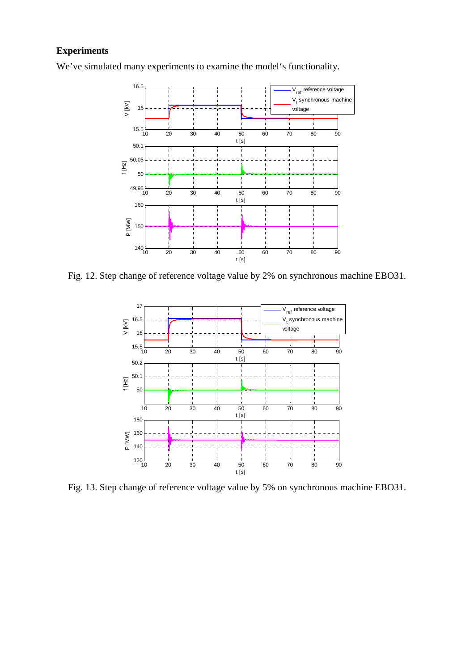### **Experiments**

We've simulated many experiments to examine the model's functionality.



Fig. 12. Step change of reference voltage value by 2% on synchronous machine EBO31.



Fig. 13. Step change of reference voltage value by 5% on synchronous machine EBO31.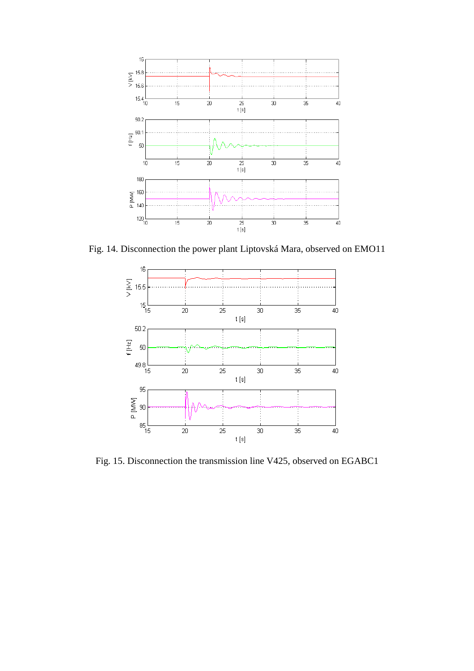

Fig. 14. Disconnection the power plant Liptovská Mara, observed on EMO11



Fig. 15. Disconnection the transmission line V425, observed on EGABC1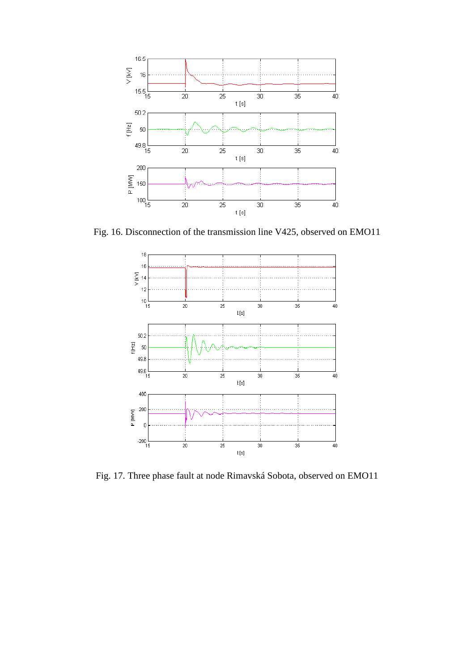

Fig. 16. Disconnection of the transmission line V425, observed on EMO11



Fig. 17. Three phase fault at node Rimavská Sobota, observed on EMO11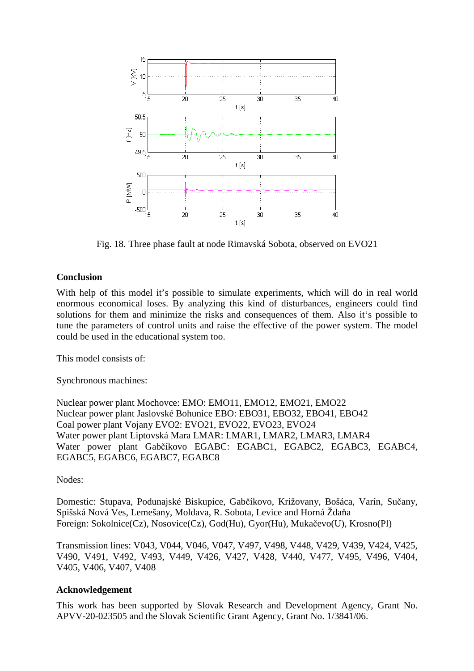

Fig. 18. Three phase fault at node Rimavská Sobota, observed on EVO21

#### **Conclusion**

With help of this model it's possible to simulate experiments, which will do in real world enormous economical loses. By analyzing this kind of disturbances, engineers could find solutions for them and minimize the risks and consequences of them. Also it's possible to tune the parameters of control units and raise the effective of the power system. The model could be used in the educational system too.

This model consists of

Synchronous machines:

Nuclear power plant Mochovce: EMO: EMO11, EMO12, EMO21, EMO22 Nuclear power plant Jaslovské Bohunice EBO: EBO31, EBO32, EBO41, EBO42 Coal power plant Vojany EVO2: EVO21, EVO22, EVO23, EVO24 Water power plant Liptovská Mara LMAR: LMAR1, LMAR2, LMAR3, LMAR4 Water power plant Gabčíkovo EGABC: EGABC1, EGABC2, EGABC3, EGABC4, EGABC5, EGABC6, EGABC7, EGABC8

Nodes:

Domestic: Stupava, Podunajské Biskupice, Gabčíkovo, Križovany, Bošáca, Varín, Sučany, Spišská Nová Ves, Lemešany, Moldava, R. Sobota, Levice and Horná Ždaňa Foreign: Sokolnice(Cz), Nosovice(Cz), God(Hu), Gyor(Hu), Mukačevo(U), Krosno(Pl)

Transmission lines: V043, V044, V046, V047, V497, V498, V448, V429, V439, V424, V425, V490, V491, V492, V493, V449, V426, V427, V428, V440, V477, V495, V496, V404, V405, V406, V407, V408

#### **Acknowledgement**

This work has been supported by Slovak Research and Development Agency, Grant No. APVV-20-023505 and the Slovak Scientific Grant Agency, Grant No. 1/3841/06.